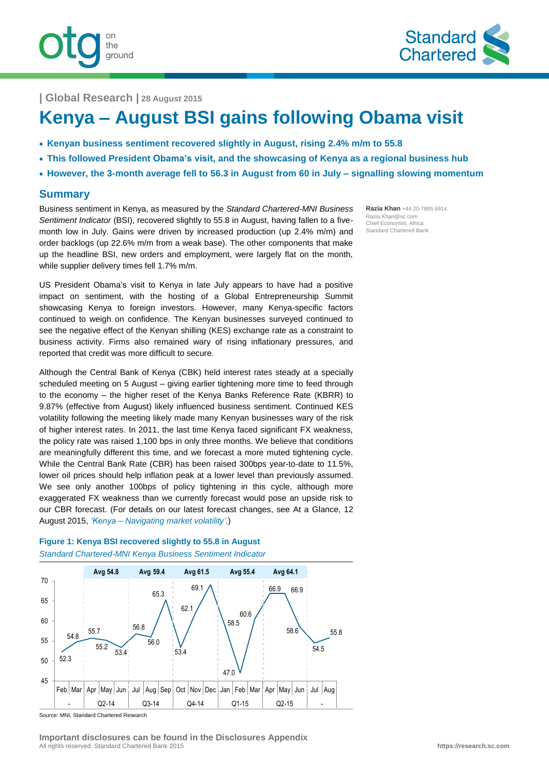



**| Global Research | 28 August 2015**

# **Kenya – August BSI gains following Obama visit**

- **Kenyan business sentiment recovered slightly in August, rising 2.4% m/m to 55.8**
- **This followed President Obama's visit, and the showcasing of Kenya as a regional business hub**
- **However, the 3-month average fell to 56.3 in August from 60 in July – signalling slowing momentum**

## **Summary**

Business sentiment in Kenya, as measured by the *Standard Chartered-MNI Business Sentiment Indicator* (BSI), recovered slightly to 55.8 in August, having fallen to a fivemonth low in July. Gains were driven by increased production (up 2.4% m/m) and order backlogs (up 22.6% m/m from a weak base). The other components that make up the headline BSI, new orders and employment, were largely flat on the month, while supplier delivery times fell 1.7% m/m.

US President Obama's visit to Kenya in late July appears to have had a positive impact on sentiment, with the hosting of a Global Entrepreneurship Summit showcasing Kenya to foreign investors. However, many Kenya-specific factors continued to weigh on confidence. The Kenyan businesses surveyed continued to see the negative effect of the Kenyan shilling (KES) exchange rate as a constraint to business activity. Firms also remained wary of rising inflationary pressures, and reported that credit was more difficult to secure.

Although the Central Bank of Kenya (CBK) held interest rates steady at a specially scheduled meeting on 5 August – giving earlier tightening more time to feed through to the economy – the higher reset of the Kenya Banks Reference Rate (KBRR) to 9.87% (effective from August) likely influenced business sentiment. Continued KES volatility following the meeting likely made many Kenyan businesses wary of the risk of higher interest rates. In 2011, the last time Kenya faced significant FX weakness, the policy rate was raised 1,100 bps in only three months. We believe that conditions are meaningfully different this time, and we forecast a more muted tightening cycle. While the Central Bank Rate (CBR) has been raised 300bps year-to-date to 11.5%, lower oil prices should help inflation peak at a lower level than previously assumed. We see only another 100bps of policy tightening in this cycle, although more exaggerated FX weakness than we currently forecast would pose an upside risk to our CBR forecast. (For details on our latest forecast changes, see At a Glance, 12 August 2015, *'Kenya – [Navigating market volatility'](https://research.sc.com/Portal/Assets/DownloadReport/2236-80561-1)*.)



**Figure 1: Kenya BSI recovered slightly to 55.8 in August** *Standard Chartered-MNI Kenya Business Sentiment Indicator*

Source: MNI, Standard Chartered Research

**Razia Khan** +44 20 7885 6914 Razia.Khan@sc.com Chief Economist, Africa Standard Chartered Bank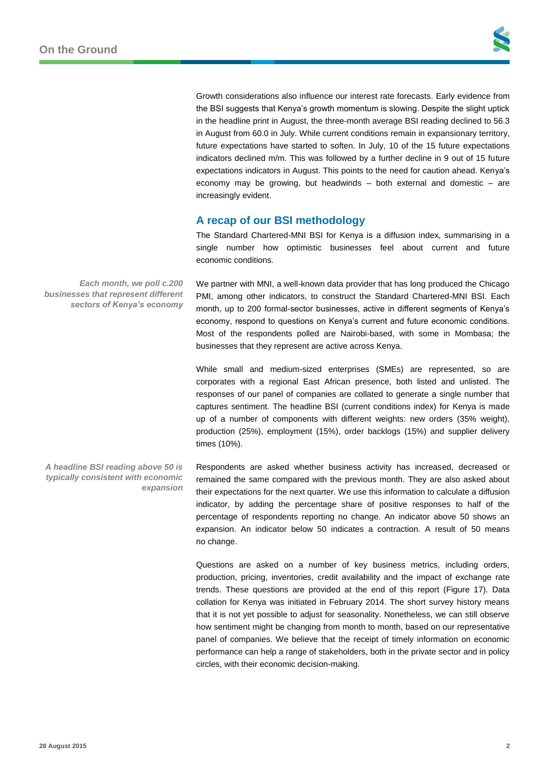

Growth considerations also influence our interest rate forecasts. Early evidence from the BSI suggests that Kenya's growth momentum is slowing. Despite the slight uptick in the headline print in August, the three-month average BSI reading declined to 56.3 in August from 60.0 in July. While current conditions remain in expansionary territory, future expectations have started to soften. In July, 10 of the 15 future expectations indicators declined m/m. This was followed by a further decline in 9 out of 15 future expectations indicators in August. This points to the need for caution ahead. Kenya's economy may be growing, but headwinds – both external and domestic – are increasingly evident.

## **A recap of our BSI methodology**

The Standard Chartered-MNI BSI for Kenya is a diffusion index, summarising in a single number how optimistic businesses feel about current and future economic conditions.

We partner with MNI, a well-known data provider that has long produced the Chicago PMI, among other indicators, to construct the Standard Chartered-MNI BSI. Each month, up to 200 formal-sector businesses, active in different segments of Kenya's economy, respond to questions on Kenya's current and future economic conditions. Most of the respondents polled are Nairobi-based, with some in Mombasa; the businesses that they represent are active across Kenya.

While small and medium-sized enterprises (SMEs) are represented, so are corporates with a regional East African presence, both listed and unlisted. The responses of our panel of companies are collated to generate a single number that captures sentiment. The headline BSI (current conditions index) for Kenya is made up of a number of components with different weights: new orders (35% weight), production (25%), employment (15%), order backlogs (15%) and supplier delivery times (10%).

Respondents are asked whether business activity has increased, decreased or remained the same compared with the previous month. They are also asked about their expectations for the next quarter. We use this information to calculate a diffusion indicator, by adding the percentage share of positive responses to half of the percentage of respondents reporting no change. An indicator above 50 shows an expansion. An indicator below 50 indicates a contraction. A result of 50 means no change.

Questions are asked on a number of key business metrics, including orders, production, pricing, inventories, credit availability and the impact of exchange rate trends. These questions are provided at the end of this report (Figure 17). Data collation for Kenya was initiated in February 2014. The short survey history means that it is not yet possible to adjust for seasonality. Nonetheless, we can still observe how sentiment might be changing from month to month, based on our representative panel of companies. We believe that the receipt of timely information on economic performance can help a range of stakeholders, both in the private sector and in policy circles, with their economic decision-making.

*Each month, we poll c.200 businesses that represent different sectors of Kenya's economy*

*A headline BSI reading above 50 is typically consistent with economic expansion*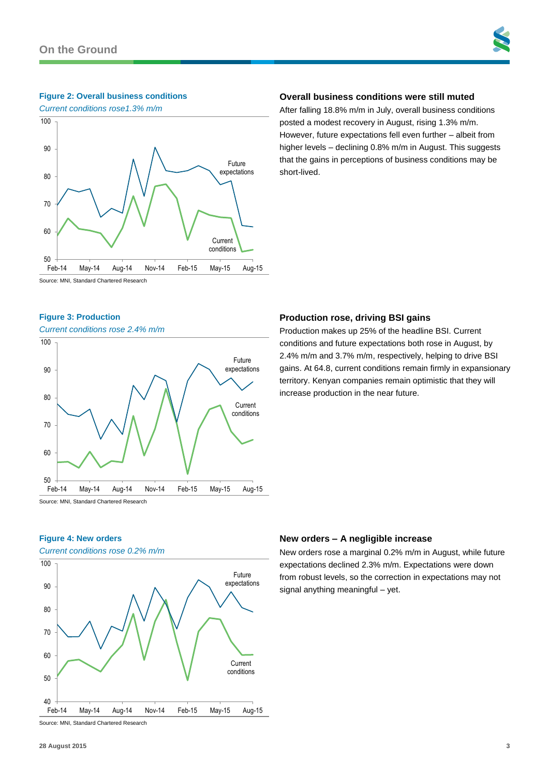## **Figure 2: Overall business conditions**

*Current conditions rose1.3% m/m*



## **Overall business conditions were still muted**

After falling 18.8% m/m in July, overall business conditions posted a modest recovery in August, rising 1.3% m/m. However, future expectations fell even further – albeit from higher levels – declining 0.8% m/m in August. This suggests that the gains in perceptions of business conditions may be short-lived.

Source: MNI, Standard Chartered Research

## **Figure 3: Production**

#### *Current conditions rose 2.4% m/m*



## **Production rose, driving BSI gains**

Production makes up 25% of the headline BSI. Current conditions and future expectations both rose in August, by 2.4% m/m and 3.7% m/m, respectively, helping to drive BSI gains. At 64.8, current conditions remain firmly in expansionary territory. Kenyan companies remain optimistic that they will increase production in the near future.

**Figure 4: New orders**

## *Current conditions rose 0.2% m/m* Source: MNI, Standard Chartered Research Current conditions Future expectations 40 50 60 70 80 90 100 Feb-14 May-14 Aug-14 Nov-14 Feb-15 May-15 Aug-15

## **New orders – A negligible increase**

New orders rose a marginal 0.2% m/m in August, while future expectations declined 2.3% m/m. Expectations were down from robust levels, so the correction in expectations may not signal anything meaningful – yet.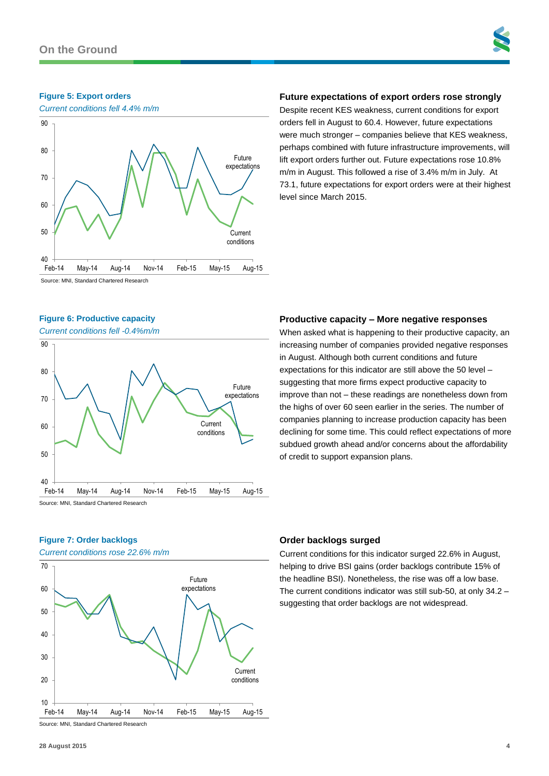## **Figure 5: Export orders**



## **Future expectations of export orders rose strongly**

Despite recent KES weakness, current conditions for export orders fell in August to 60.4. However, future expectations were much stronger – companies believe that KES weakness, perhaps combined with future infrastructure improvements, will lift export orders further out. Future expectations rose 10.8% m/m in August. This followed a rise of 3.4% m/m in July. At 73.1, future expectations for export orders were at their highest level since March 2015.

Source: MNI, Standard Chartered Research

#### **Figure 6: Productive capacity**

*Current conditions fell -0.4%m/m*



## **Figure 7: Order backlogs**

*Current conditions rose 22.6% m/m*



## **Productive capacity – More negative responses**

When asked what is happening to their productive capacity, an increasing number of companies provided negative responses in August. Although both current conditions and future expectations for this indicator are still above the 50 level – suggesting that more firms expect productive capacity to improve than not – these readings are nonetheless down from the highs of over 60 seen earlier in the series. The number of companies planning to increase production capacity has been declining for some time. This could reflect expectations of more subdued growth ahead and/or concerns about the affordability of credit to support expansion plans.

## **Order backlogs surged**

Current conditions for this indicator surged 22.6% in August, helping to drive BSI gains (order backlogs contribute 15% of the headline BSI). Nonetheless, the rise was off a low base. The current conditions indicator was still sub-50, at only 34.2 – suggesting that order backlogs are not widespread.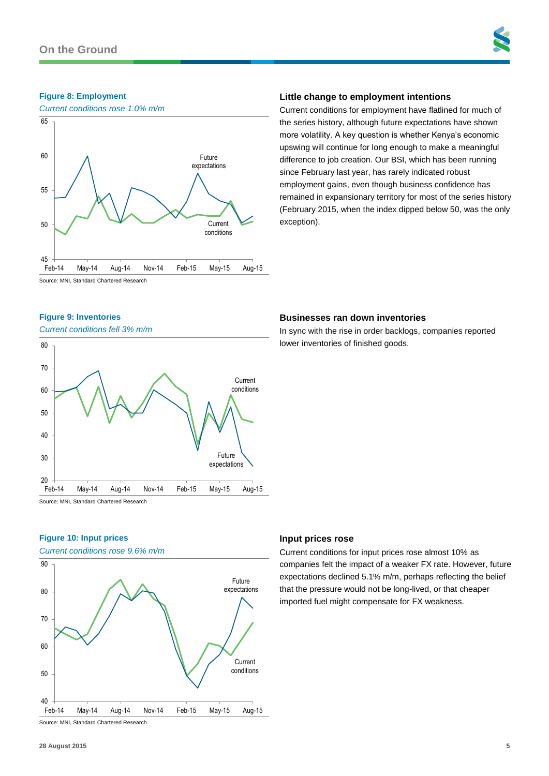

#### **Figure 8: Employment**



## **Little change to employment intentions**

Current conditions for employment have flatlined for much of the series history, although future expectations have shown more volatility. A key question is whether Kenya's economic upswing will continue for long enough to make a meaningful difference to job creation. Our BSI, which has been running since February last year, has rarely indicated robust employment gains, even though business confidence has remained in expansionary territory for most of the series history (February 2015, when the index dipped below 50, was the only exception).

Source: MNI, Standard Chartered Research

#### **Figure 9: Inventories**

*Current conditions fell 3% m/m*



## **Businesses ran down inventories**

In sync with the rise in order backlogs, companies reported lower inventories of finished goods.

## **Figure 10: Input prices**

*Current conditions rose 9.6% m/m*



## **Input prices rose**

Current conditions for input prices rose almost 10% as companies felt the impact of a weaker FX rate. However, future expectations declined 5.1% m/m, perhaps reflecting the belief that the pressure would not be long-lived, or that cheaper imported fuel might compensate for FX weakness.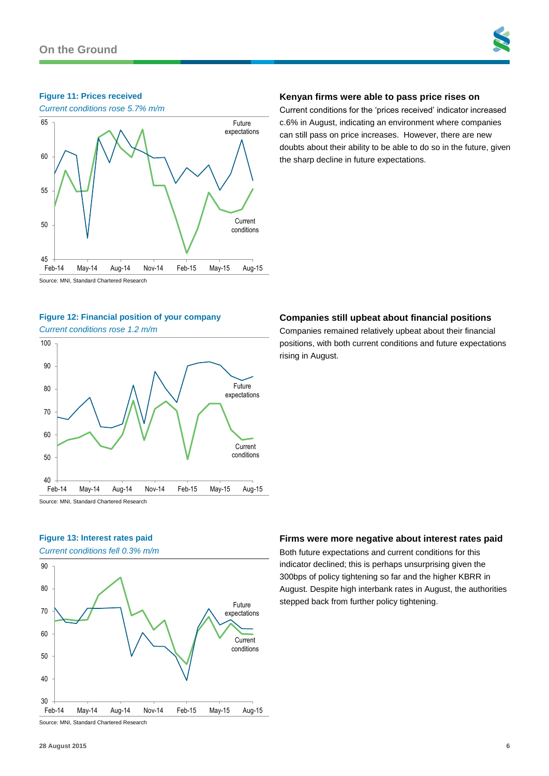## **Figure 11: Prices received**



## **Kenyan firms were able to pass price rises on**

Current conditions for the 'prices received' indicator increased c.6% in August, indicating an environment where companies can still pass on price increases. However, there are new doubts about their ability to be able to do so in the future, given the sharp decline in future expectations.

Source: MNI, Standard Chartered Research

## **Figure 12: Financial position of your company**

*Current conditions rose 1.2 m/m*



## **Companies still upbeat about financial positions**

Companies remained relatively upbeat about their financial positions, with both current conditions and future expectations rising in August.

## **Figure 13: Interest rates paid**

*Current conditions fell 0.3% m/m*



**Firms were more negative about interest rates paid**

Both future expectations and current conditions for this indicator declined; this is perhaps unsurprising given the 300bps of policy tightening so far and the higher KBRR in August. Despite high interbank rates in August, the authorities stepped back from further policy tightening.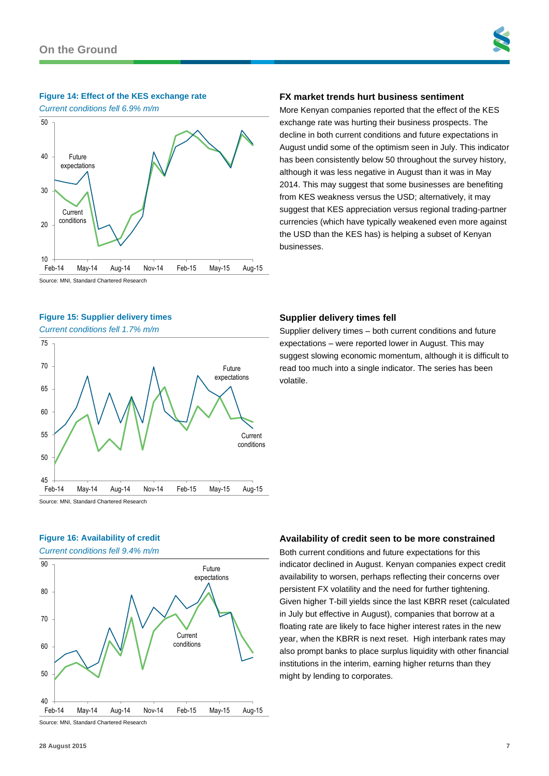

#### **Figure 14: Effect of the KES exchange rate**

*Current conditions fell 6.9% m/m*



# **Figure 15: Supplier delivery times**

*Current conditions fell 1.7% m/m*



## **Figure 16: Availability of credit**

*Current conditions fell 9.4% m/m*



## **FX market trends hurt business sentiment**

More Kenyan companies reported that the effect of the KES exchange rate was hurting their business prospects. The decline in both current conditions and future expectations in August undid some of the optimism seen in July. This indicator has been consistently below 50 throughout the survey history, although it was less negative in August than it was in May 2014. This may suggest that some businesses are benefiting from KES weakness versus the USD; alternatively, it may suggest that KES appreciation versus regional trading-partner currencies (which have typically weakened even more against the USD than the KES has) is helping a subset of Kenyan businesses.

#### **Supplier delivery times fell**

Supplier delivery times – both current conditions and future expectations – were reported lower in August. This may suggest slowing economic momentum, although it is difficult to read too much into a single indicator. The series has been volatile.

## **Availability of credit seen to be more constrained**

Both current conditions and future expectations for this indicator declined in August. Kenyan companies expect credit availability to worsen, perhaps reflecting their concerns over persistent FX volatility and the need for further tightening. Given higher T-bill yields since the last KBRR reset (calculated in July but effective in August), companies that borrow at a floating rate are likely to face higher interest rates in the new year, when the KBRR is next reset. High interbank rates may also prompt banks to place surplus liquidity with other financial institutions in the interim, earning higher returns than they might by lending to corporates.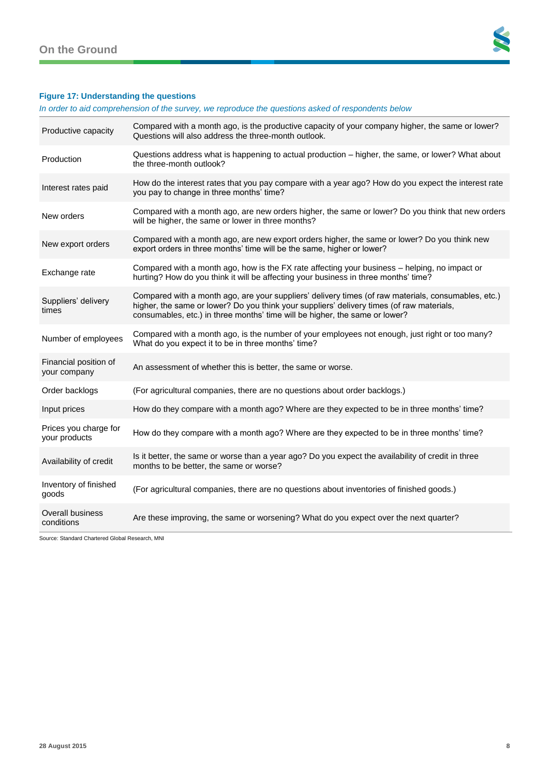

## **Figure 17: Understanding the questions**

*In order to aid comprehension of the survey, we reproduce the questions asked of respondents below*

| Productive capacity                    | Compared with a month ago, is the productive capacity of your company higher, the same or lower?<br>Questions will also address the three-month outlook.                                                                                                                        |
|----------------------------------------|---------------------------------------------------------------------------------------------------------------------------------------------------------------------------------------------------------------------------------------------------------------------------------|
| Production                             | Questions address what is happening to actual production – higher, the same, or lower? What about<br>the three-month outlook?                                                                                                                                                   |
| Interest rates paid                    | How do the interest rates that you pay compare with a year ago? How do you expect the interest rate<br>you pay to change in three months' time?                                                                                                                                 |
| New orders                             | Compared with a month ago, are new orders higher, the same or lower? Do you think that new orders<br>will be higher, the same or lower in three months?                                                                                                                         |
| New export orders                      | Compared with a month ago, are new export orders higher, the same or lower? Do you think new<br>export orders in three months' time will be the same, higher or lower?                                                                                                          |
| Exchange rate                          | Compared with a month ago, how is the FX rate affecting your business - helping, no impact or<br>hurting? How do you think it will be affecting your business in three months' time?                                                                                            |
| Suppliers' delivery<br>times           | Compared with a month ago, are your suppliers' delivery times (of raw materials, consumables, etc.)<br>higher, the same or lower? Do you think your suppliers' delivery times (of raw materials,<br>consumables, etc.) in three months' time will be higher, the same or lower? |
| Number of employees                    | Compared with a month ago, is the number of your employees not enough, just right or too many?<br>What do you expect it to be in three months' time?                                                                                                                            |
| Financial position of<br>your company  | An assessment of whether this is better, the same or worse.                                                                                                                                                                                                                     |
| Order backlogs                         | (For agricultural companies, there are no questions about order backlogs.)                                                                                                                                                                                                      |
| Input prices                           | How do they compare with a month ago? Where are they expected to be in three months' time?                                                                                                                                                                                      |
| Prices you charge for<br>your products | How do they compare with a month ago? Where are they expected to be in three months' time?                                                                                                                                                                                      |
| Availability of credit                 | Is it better, the same or worse than a year ago? Do you expect the availability of credit in three<br>months to be better, the same or worse?                                                                                                                                   |
| Inventory of finished<br>goods         | (For agricultural companies, there are no questions about inventories of finished goods.)                                                                                                                                                                                       |
| <b>Overall business</b><br>conditions  | Are these improving, the same or worsening? What do you expect over the next quarter?                                                                                                                                                                                           |

Source: Standard Chartered Global Research, MNI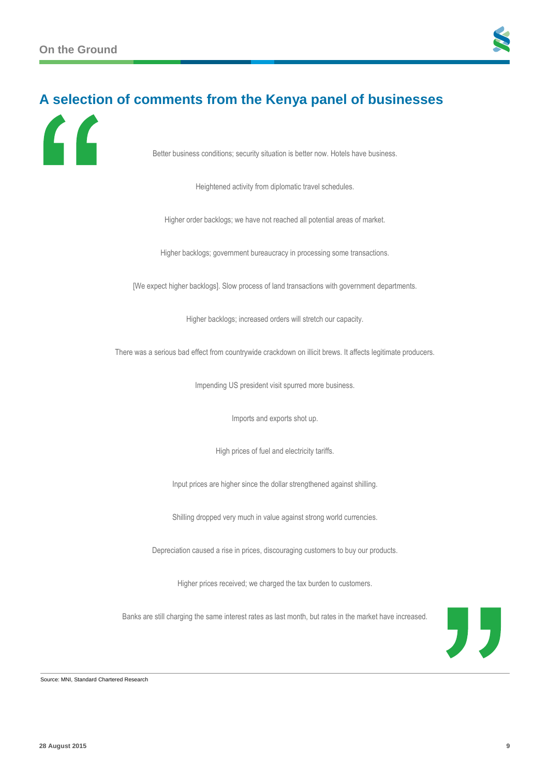

# **A selection of comments from the Kenya panel of businesses**



Better business conditions; security situation is better now. Hotels have business.

Heightened activity from diplomatic travel schedules.

Higher order backlogs; we have not reached all potential areas of market.

Higher backlogs; government bureaucracy in processing some transactions.

[We expect higher backlogs]. Slow process of land transactions with government departments.

Higher backlogs; increased orders will stretch our capacity.

There was a serious bad effect from countrywide crackdown on illicit brews. It affects legitimate producers.

Impending US president visit spurred more business.

Imports and exports shot up.

High prices of fuel and electricity tariffs.

Input prices are higher since the dollar strengthened against shilling.

Shilling dropped very much in value against strong world currencies.

Depreciation caused a rise in prices, discouraging customers to buy our products.

Higher prices received; we charged the tax burden to customers.

Banks are still charging the same interest rates as last month, but rates in the market have increased.



Source: MNI, Standard Chartered Research